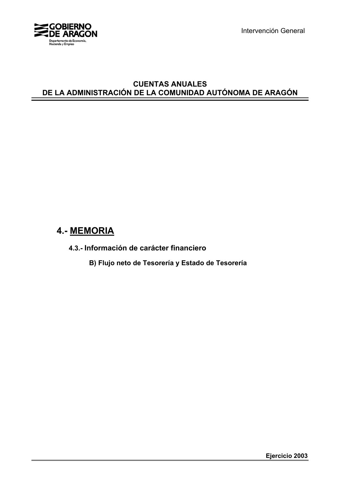

Intervención General

## **CUENTAS ANUALES DE LA ADMINISTRACIÓN DE LA COMUNIDAD AUTÓNOMA DE ARAGÓN**

# **4.- MEMORIA**

**4.3.- Información de carácter financiero**

**B) Flujo neto de Tesorería y Estado de Tesorería**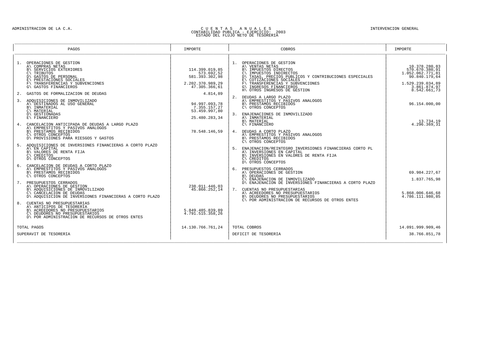# ADMINISTRACION DE LA C.A. (CAN ENERAL CONTABILIDAD DE U E N T A S ) A N U A L E S<br>CONTABILIDAD PUBLICA - EJERCICIO PUBLICA - EJERCICIO PUBLICA - EJERCICIO 2003<br>ESTADO DEL FLUJO NETO DE TESORERIA

| OPERACIONES DE GESTION<br>OPERACIONES DE GESTION<br>1.<br>1.<br>10.378.280,83<br>A\ COMPRAS NETAS<br>A\ VENTAS NETAS<br>B\ SERVICIOS EXTERIORES<br>570.670.380.91<br>114.399.019.85<br>B\ IMPUESTOS DIRECTOS<br>573.692,52<br>\ IMPUESTOS INDIRECTOS<br>\ TASAS, PRECIOS FUBLICOS Y CONTRIBUCIONES ESPECIALES<br>\ COTIZACIONES SOCIALES<br>\ TRANSFERENCIAS Y SUBVENCIONES<br>1.052.062.771,81<br>$C\setminus$ TRIBUTOS<br>$C \setminus$<br>D\ GASTOS DE PERSONAL<br>581.393.302,98<br>90.840.179,64<br>E\ PRESTACIONES SOCIALES<br>1.529.239.034,89<br>TRANSFERENCIAS Y SUBVENCIONES<br>2.202.370.989,29<br>G\ INGRESOS FINANCIEROS<br>G\ GASTOS FINANCIEROS<br>3.861.874,97<br>47.305.366,61<br>H\ OTROS INGRESOS DE GESTION<br>8.542.661,73<br>GASTOS DE FORMALIZACION DE DEUDAS<br>4.814.89<br>2.<br>DEUDAS A LARGO PLAZO<br>A\ EMPRESTITOS Y PASIVOS ANALOGOS<br>ADQUISICIONES DE INMOVILIZADO<br>3.<br>B\ PRESTAMOS RECIBIDOS<br>A\ DESTINADOS AL USO GENERAL<br>94.997.093.78<br>96.154.000.00<br>B\ INMATERIAL<br>7.355.157.27<br>C\ MATERIAL<br>53.459.997,80<br>D\ GESTIONADAS<br>3. ENAJENACIONES DE INMOVILIZADO<br>A\ INMATERIAL<br>E\ FINANCIERO<br>25.480.283,34<br>B\ MATERIAL<br>13.734,19<br>C\ FINANCIERO<br>4.296.369,31<br>4. CANCELACION ANTICIPADA DE DEUDAS A LARGO PLAZO<br>A\ EMPRESTITOS Y PASIVOS ANALOGOS<br>B\ PRESTAMOS RECIBIDOS<br>78.548.146,59<br>4. DEUDAS A CORTO PLAZO<br>C\ OTROS CONCEPTOS<br>A\ EMPRESTITOS Y PASIVOS ANALOGOS<br>D\ PROVISIONES PARA RIESGOS Y GASTOS<br>B\ PRESTAMOS RECIBIDOS<br>C\ OTROS CONCEPTOS<br>ADOUISICIONES DE INVERSIONES FINANCIERAS A CORTO PLAZO<br>A\ EN CAPITAL<br>ENAJENACION/REINTEGRO INVERSIONES FINANCIERAS CORTO PL<br>5.<br>B\ VALORES DE RENTA FIJA<br>A\ INVERSIONES EN CAPITAL<br>B\ INVERSIONES EN VALORES DE RENTA FIJA<br>$C\setminus$ CREDITOS<br>D\ OTROS CONCEPTOS<br>C\ CREDITOS<br>D\ OTROS CONCEPTOS<br>CANCELACION DE DEUDAS A CORTO PLAZO<br>б.<br>A\ EMPRESTITOS Y PASIVOS ANALOGOS<br>6. PRESUPUESTOS CERRADOS<br>A\ OPERACIONES DE GESTION<br>B\ PRESTAMOS RECIBIDOS<br>69.984.227,67<br>C\ OTROS CONCEPTOS<br>B\ DEUDAS<br>C\ ENAJENACION DE INMOVILIZADO<br>D\ ENAJENACION DE INVERSIONES FINANCIERAS A CORTO PLAZO<br>1.837.765,98<br>7. PRESUPUESTOS CERRADOS<br>A\ OPERACIONES DE GESTION<br>238.011.446,03<br>B\ ADQUISICIONES DE INMOVILIZADO<br>45.866.252.14<br>7. CUENTAS NO PRESUPUESTARIAS<br>C\ CANCELACION DE DEUDAS<br>A\ ACREEDORES NO PRESUPUESTARIOS<br>5.868.006.646,68<br>D\ ADOUISICION DE INVERSIONES FINANCIERAS A CORTO PLAZO<br>4.786.111.980,85<br>B\ DEUDORES NO PRESUPUESTARIOS<br>C\ POR ADMINISTRACION DE RECURSOS DE OTROS ENTES<br>8.<br>CUENTAS NO PRESUPUESTARIAS<br>A\ ANTICIPOS DE TESORERIA<br>B\ ACREEDORES NO PRESUPUESTARIOS<br>5.849.485.839,89<br>C\ DEUDORES NO PRESUPUESTARIOS<br>4.791.515.358,26<br>D\ POR ADMINISTRACION DE RECURSOS DE OTROS ENTES<br>14.130.766.761,24<br>TOTAL COBROS<br>14.091.999.909,46<br>TOTAL PAGOS<br>38.766.851,78<br>SUPERAVIT DE TESORERIA<br>DEFICIT DE TESORERIA | PAGOS | IMPORTE | COBROS | IMPORTE |  |
|----------------------------------------------------------------------------------------------------------------------------------------------------------------------------------------------------------------------------------------------------------------------------------------------------------------------------------------------------------------------------------------------------------------------------------------------------------------------------------------------------------------------------------------------------------------------------------------------------------------------------------------------------------------------------------------------------------------------------------------------------------------------------------------------------------------------------------------------------------------------------------------------------------------------------------------------------------------------------------------------------------------------------------------------------------------------------------------------------------------------------------------------------------------------------------------------------------------------------------------------------------------------------------------------------------------------------------------------------------------------------------------------------------------------------------------------------------------------------------------------------------------------------------------------------------------------------------------------------------------------------------------------------------------------------------------------------------------------------------------------------------------------------------------------------------------------------------------------------------------------------------------------------------------------------------------------------------------------------------------------------------------------------------------------------------------------------------------------------------------------------------------------------------------------------------------------------------------------------------------------------------------------------------------------------------------------------------------------------------------------------------------------------------------------------------------------------------------------------------------------------------------------------------------------------------------------------------------------------------------------------------------------------------------------------------------------------------------------------------------------------------------------------------------------------------------------------------------------------------------------------------------------------------------------------------------------------------------------------------------------------------------------------------------------------|-------|---------|--------|---------|--|
|                                                                                                                                                                                                                                                                                                                                                                                                                                                                                                                                                                                                                                                                                                                                                                                                                                                                                                                                                                                                                                                                                                                                                                                                                                                                                                                                                                                                                                                                                                                                                                                                                                                                                                                                                                                                                                                                                                                                                                                                                                                                                                                                                                                                                                                                                                                                                                                                                                                                                                                                                                                                                                                                                                                                                                                                                                                                                                                                                                                                                                                    |       |         |        |         |  |
|                                                                                                                                                                                                                                                                                                                                                                                                                                                                                                                                                                                                                                                                                                                                                                                                                                                                                                                                                                                                                                                                                                                                                                                                                                                                                                                                                                                                                                                                                                                                                                                                                                                                                                                                                                                                                                                                                                                                                                                                                                                                                                                                                                                                                                                                                                                                                                                                                                                                                                                                                                                                                                                                                                                                                                                                                                                                                                                                                                                                                                                    |       |         |        |         |  |
|                                                                                                                                                                                                                                                                                                                                                                                                                                                                                                                                                                                                                                                                                                                                                                                                                                                                                                                                                                                                                                                                                                                                                                                                                                                                                                                                                                                                                                                                                                                                                                                                                                                                                                                                                                                                                                                                                                                                                                                                                                                                                                                                                                                                                                                                                                                                                                                                                                                                                                                                                                                                                                                                                                                                                                                                                                                                                                                                                                                                                                                    |       |         |        |         |  |
|                                                                                                                                                                                                                                                                                                                                                                                                                                                                                                                                                                                                                                                                                                                                                                                                                                                                                                                                                                                                                                                                                                                                                                                                                                                                                                                                                                                                                                                                                                                                                                                                                                                                                                                                                                                                                                                                                                                                                                                                                                                                                                                                                                                                                                                                                                                                                                                                                                                                                                                                                                                                                                                                                                                                                                                                                                                                                                                                                                                                                                                    |       |         |        |         |  |
|                                                                                                                                                                                                                                                                                                                                                                                                                                                                                                                                                                                                                                                                                                                                                                                                                                                                                                                                                                                                                                                                                                                                                                                                                                                                                                                                                                                                                                                                                                                                                                                                                                                                                                                                                                                                                                                                                                                                                                                                                                                                                                                                                                                                                                                                                                                                                                                                                                                                                                                                                                                                                                                                                                                                                                                                                                                                                                                                                                                                                                                    |       |         |        |         |  |
|                                                                                                                                                                                                                                                                                                                                                                                                                                                                                                                                                                                                                                                                                                                                                                                                                                                                                                                                                                                                                                                                                                                                                                                                                                                                                                                                                                                                                                                                                                                                                                                                                                                                                                                                                                                                                                                                                                                                                                                                                                                                                                                                                                                                                                                                                                                                                                                                                                                                                                                                                                                                                                                                                                                                                                                                                                                                                                                                                                                                                                                    |       |         |        |         |  |